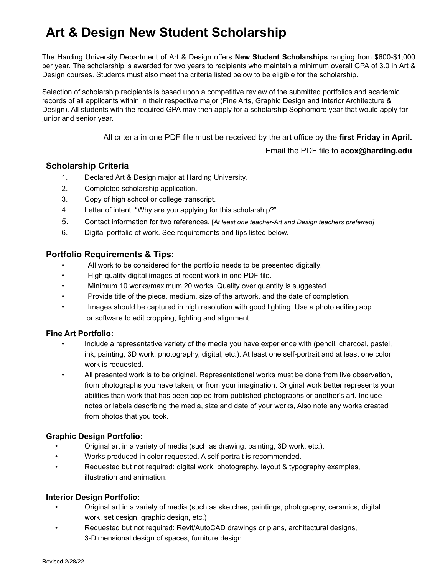# **Art & Design New Student Scholarship**

The Harding University Department of Art & Design offers **New Student Scholarships** ranging from \$600-\$1,000 per year. The scholarship is awarded for two years to recipients who maintain a minimum overall GPA of 3.0 in Art & Design courses. Students must also meet the criteria listed below to be eligible for the scholarship.

Selection of scholarship recipients is based upon a competitive review of the submitted portfolios and academic records of all applicants within in their respective major (Fine Arts, Graphic Design and Interior Architecture & Design). All students with the required GPA may then apply for a scholarship Sophomore year that would apply for junior and senior year.

All criteria in one PDF file must be received by the art office by the **first Friday in April.**

Email the PDF file to **[acox@harding.edu](mailto:acox@harding.edu)**

#### **Scholarship Criteria**

- 1. Declared Art & Design major at Harding University.
- 2. Completed scholarship application.
- 3. Copy of high school or college transcript.
- 4. Letter of intent. "Why are you applying for this scholarship?"
- 5. Contact information for two references. [*At least one teacher-Art and Design teachers preferred]*
- 6. Digital portfolio of work. See requirements and tips listed below.

#### **Portfolio Requirements & Tips:**

- All work to be considered for the portfolio needs to be presented digitally.
- High quality digital images of recent work in one PDF file.
- Minimum 10 works/maximum 20 works. Quality over quantity is suggested.
- Provide title of the piece, medium, size of the artwork, and the date of completion.
- Images should be captured in high resolution with good lighting. Use a photo editing app or software to edit cropping, lighting and alignment.

#### **Fine Art Portfolio:**

- Include a representative variety of the media you have experience with (pencil, charcoal, pastel, ink, painting, 3D work, photography, digital, etc.). At least one self-portrait and at least one color work is requested.
- All presented work is to be original. Representational works must be done from live observation, from photographs you have taken, or from your imagination. Original work better represents your abilities than work that has been copied from published photographs or another's art. Include notes or labels describing the media, size and date of your works, Also note any works created from photos that you took.

#### **Graphic Design Portfolio:**

- Original art in a variety of media (such as drawing, painting, 3D work, etc.).
- Works produced in color requested. A self-portrait is recommended.
- Requested but not required: digital work, photography, layout & typography examples, illustration and animation.

#### **Interior Design Portfolio:**

- Original art in a variety of media (such as sketches, paintings, photography, ceramics, digital work, set design, graphic design, etc.)
- Requested but not required: Revit/AutoCAD drawings or plans, architectural designs, 3-Dimensional design of spaces, furniture design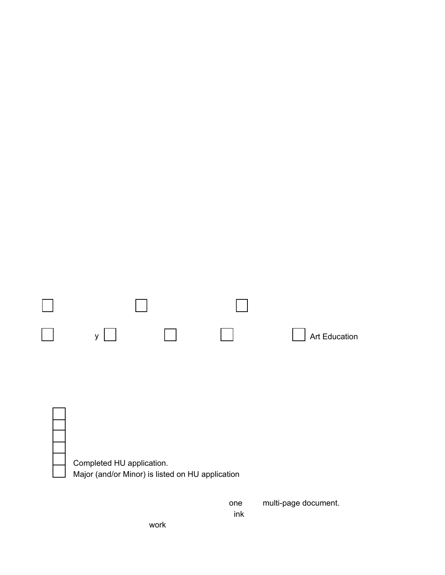### < UfX]b[ 'I b]j Yfg]lmi: fYg\ a Ub'5 fh/ '8 Yg][ b'GW c'Ufg\ ]d'5 dd']WUjcb"

| $\emptyset$ $\emptyset$ $\emptyset$ $\emptyset$ $\emptyset$ $\emptyset$ $\emptyset$ $\emptyset$ $\emptyset$ $\emptyset$ $\emptyset$ $\emptyset$ $\emptyset$ $\emptyset$ $\emptyset$ $\emptyset$ $\emptyset$ $\emptyset$ $\emptyset$ $\emptyset$ $\emptyset$ $\emptyset$ $\emptyset$ $\emptyset$ $\emptyset$ $\emptyset$ $\emptyset$ $\emptyset$ $\emptyset$ $\emptyset$ $\emptyset$ $\emptyset$ $\emptyset$ $\emptyset$ $\emptyset$ $\emptyset$ $\emptyset$ |                                               |
|-------------------------------------------------------------------------------------------------------------------------------------------------------------------------------------------------------------------------------------------------------------------------------------------------------------------------------------------------------------------------------------------------------------------------------------------------------------|-----------------------------------------------|
|                                                                                                                                                                                                                                                                                                                                                                                                                                                             |                                               |
|                                                                                                                                                                                                                                                                                                                                                                                                                                                             |                                               |
|                                                                                                                                                                                                                                                                                                                                                                                                                                                             |                                               |
| Pã @Ñ&@[ '''''''''A                                                                                                                                                                                                                                                                                                                                                                                                                                         |                                               |
| OEÓVÁLLÁUCEVÁU&LI^Á '''''''''A                                                                                                                                                                                                                                                                                                                                                                                                                              | ÁP a @ÁU&@ [ ÁÖ¦æå`æaā]}ÁÖæe^Á´´´´´´´´´´´´´´´ |

 $\text{Lip}$  \ GW cc`5 k Uf Xg#cbcfg#5 Whj ]h]Yg.

| 5 fYUcZ=bhYfYghiQ   ^ æ ^ Á&@ & Áæ  Áo@er&e}     ^ DRÁ                                                                                                                                                                                                                                                                                                                     |
|----------------------------------------------------------------------------------------------------------------------------------------------------------------------------------------------------------------------------------------------------------------------------------------------------------------------------------------------------------------------------|
| $\tilde{O}$ læl@&AÖ^• $\tilde{a}$ }Á   $\varphi$ c^¦ $\tilde{a}$ ¦AÖ^• $\tilde{a}$ }Á<br>Xã ~ anÁOEoÁ Jo åã ÁZZã ^ÁOEoáÁ                                                                                                                                                                                                                                                   |
| OEdÁ/@∂¦æ]y │ │OEdÁPã∗q{¦^ÁÁ│ │OEjã[æaã]}ÁÁ∣ │Ú@{q*¦æ}@<br>Art Education Á                                                                                                                                                                                                                                                                                                 |
| <b>=bWea ]b[ '8 YWUTU]cb cZAU'cf .</b> A ''''''''''''''''AA]bcf 'f#ZUdd'JWUV YŁ. '''''''''''''''''''''''''''''''''A                                                                                                                                                                                                                                                        |
| $\hat{M}$ z < 97? @ GH.<br>Ô     ^ Á ÁP ã @ÂJ&@    Á ¦ÁÔ     ^*^Á/¦æ} • &¦ ã cÁ<br>Š^oc^¦Á, ÁQQc^}oŽã‰ @Áze}^Á[*Áze}] ^ãj*Á{¦Ác@áÁ&@ æ •@ãjÑ+éÁ<br>Ô [} cassoft] + 1{ assa]} Á [ 1 kg [ Á ^ ~ 1 ^ } & * ELZER (* as of } ^ At as @ 1 EA<br>$U$   GF   $\oint A \mathcal{A}$    $\Lambda$<br>Completed HU application.<br>Major (and/or Minor) is listed on HU application. |
| Pã @Á * apar Ásã arap/a as ^ • Á Ás ^ • o 4 [   \ / & Ás ne ÁJÖØ Amulti-page do cument.                                                                                                                                                                                                                                                                                    |

[Tājā[`{ÁF€Á}[¦\∙BĂ(æ¢ã[`{ÁG€Á}[¦\∙BÀVQ2nkÁlˇæþāĉÂiç^¦Álˇæ)oãĉi [ Õãg^Áo@Ánãql^Á, Áo @ÁworkÉA, ^åã{ÉA ã ^Áo}åÁo@Ánane^Á, Á& [ ]|^cã }È [ CHÁ [ |\Áq Áa^Á& ] •ãa^¦^åÁq |Áo@Á [ |cf |ā Á^^å•Áq Áa^Á ¦^•^}c^åÁaããæn#^È